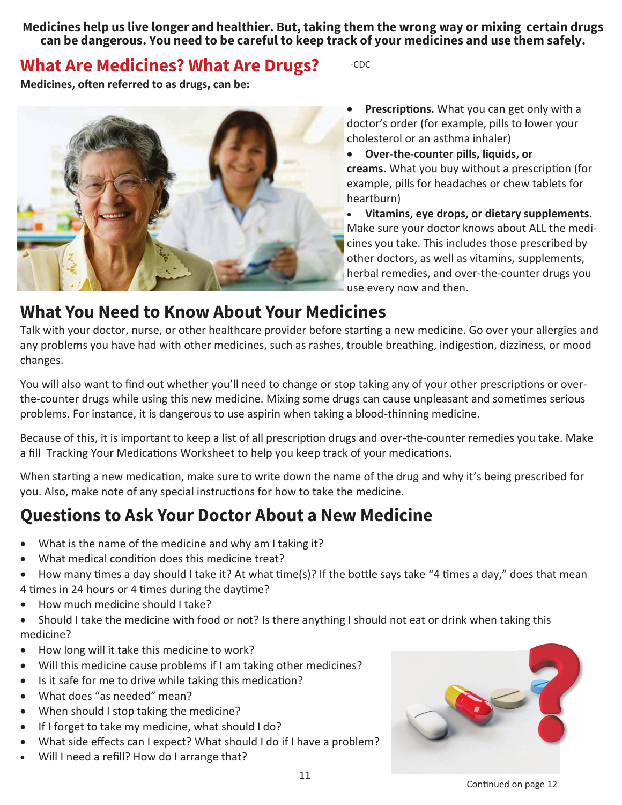**Medicines help us live longer and healthier. But, taking them the wrong way or mixing certain drugs can be dangerous. You need to be careful to keep track of your medicines and use them safely.** 

#### **What Are Medicines? What Are Drugs?**

-CDC

**Medicines, often referred to as drugs, can be:** 



**•** Prescriptions. What you can get only with a doctor's order (for example, pills to lower your cholesterol or an asthma inhaler)

x **Over-the-counter pills, liquids, or** creams. What you buy without a prescription (for example, pills for headaches or chew tablets for heartburn)

x **Vitamins, eye drops, or dietary supplements.** Make sure your doctor knows about ALL the medicines you take. This includes those prescribed by other doctors, as well as vitamins, supplements, herbal remedies, and over-the-counter drugs you use every now and then.

#### **What You Need to Know About Your Medicines**

Talk with your doctor, nurse, or other healthcare provider before starting a new medicine. Go over your allergies and any problems you have had with other medicines, such as rashes, trouble breathing, indigestion, dizziness, or mood changes.

You will also want to find out whether you'll need to change or stop taking any of your other prescriptions or overthe-counter drugs while using this new medicine. Mixing some drugs can cause unpleasant and sometimes serious problems. For instance, it is dangerous to use aspirin when taking a blood-thinning medicine.

Because of this, it is important to keep a list of all prescription drugs and over-the-counter remedies you take. Make a fill Tracking Your Medications Worksheet to help you keep track of your medications.

When starting a new medication, make sure to write down the name of the drug and why it's being prescribed for you. Also, make note of any special instructions for how to take the medicine.

# **Questions to Ask Your Doctor About a New Medicine**

- What is the name of the medicine and why am I taking it?
- What medical condition does this medicine treat?
- How many times a day should I take it? At what time(s)? If the bottle says take "4 times a day," does that mean 4 times in 24 hours or 4 times during the daytime?
- How much medicine should I take?
- Should I take the medicine with food or not? Is there anything I should not eat or drink when taking this medicine?
- How long will it take this medicine to work?
- Will this medicine cause problems if I am taking other medicines?
- Is it safe for me to drive while taking this medication?
- What does "as needed" mean?
- When should I stop taking the medicine?
- If I forget to take my medicine, what should I do?
- x What side effects can I expect? What should I do if I have a problem?
- Will I need a refill? How do I arrange that?